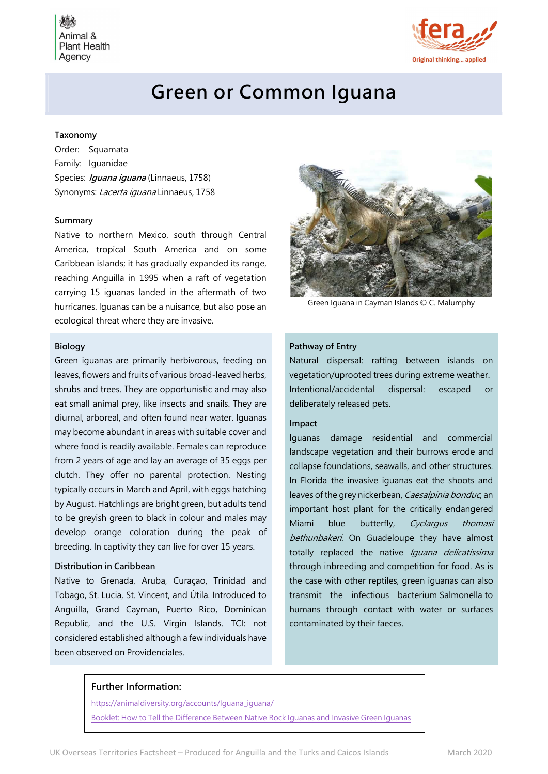Animal & **Plant Health** Agency



# Green or Common Iguana

### Taxonomy

Order: Squamata Family: Iguanidae Species: *Iguana iguana* (Linnaeus, 1758) Synonyms: Lacerta iguana Linnaeus, 1758

#### Summary

Native to northern Mexico, south through Central America, tropical South America and on some Caribbean islands; it has gradually expanded its range, reaching Anguilla in 1995 when a raft of vegetation carrying 15 iguanas landed in the aftermath of two hurricanes. Iguanas can be a nuisance, but also pose an ecological threat where they are invasive.

### Biology

Green iguanas are primarily herbivorous, feeding on leaves, flowers and fruits of various broad-leaved herbs, shrubs and trees. They are opportunistic and may also eat small animal prey, like insects and snails. They are diurnal, arboreal, and often found near water. Iguanas may become abundant in areas with suitable cover and where food is readily available. Females can reproduce from 2 years of age and lay an average of 35 eggs per clutch. They offer no parental protection. Nesting typically occurs in March and April, with eggs hatching by August. Hatchlings are bright green, but adults tend to be greyish green to black in colour and males may develop orange coloration during the peak of breeding. In captivity they can live for over 15 years.

# Distribution in Caribbean

Native to Grenada, Aruba, Curaçao, Trinidad and Tobago, St. Lucia, St. Vincent, and Útila. Introduced to Anguilla, Grand Cayman, Puerto Rico, Dominican Republic, and the U.S. Virgin Islands. TCI: not considered established although a few individuals have been observed on Providenciales.



Green Iguana in Cayman Islands © C. Malumphy

# Pathway of Entry

Natural dispersal: rafting between islands on vegetation/uprooted trees during extreme weather. Intentional/accidental dispersal: escaped or deliberately released pets.

#### Impact

Iguanas damage residential and commercial landscape vegetation and their burrows erode and collapse foundations, seawalls, and other structures. In Florida the invasive iguanas eat the shoots and leaves of the grey nickerbean, Caesalpinia bonduc, an important host plant for the critically endangered Miami blue butterfly, Cyclargus thomasi bethunbakeri. On Guadeloupe they have almost totally replaced the native Iquana delicatissima through inbreeding and competition for food. As is the case with other reptiles, green iguanas can also transmit the infectious bacterium Salmonella to humans through contact with water or surfaces contaminated by their faeces.

#### Further Information:

https://animaldiversity.org/accounts/Iguana\_iguana/ Booklet: How to Tell the Difference Between Native Rock Iguanas and Invasive Green Iguanas